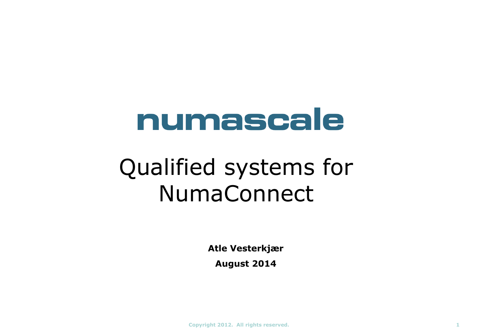# numascale

## Qualified systems for NumaConnect

**Atle Vesterkjær**

**August 2014**

**Copyright 2012. All rights reserved. 1**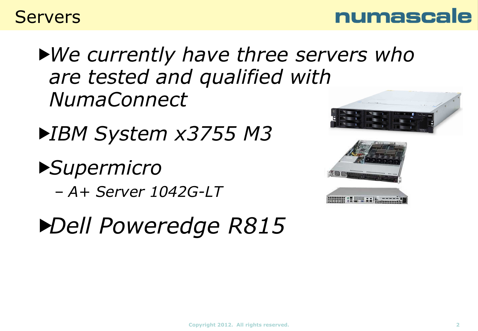



*We currently have three servers who are tested and qualified with NumaConnect*

*IBM System x3755 M3*

*Supermicro* 

– *A+ Server 1042G-LT*

*Dell Poweredge R815*



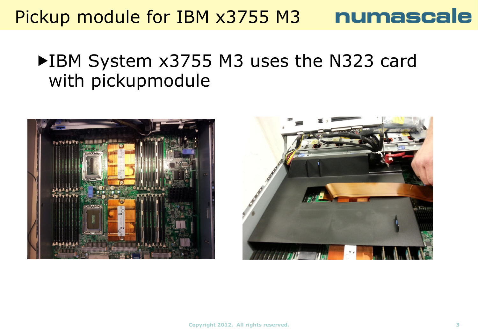#### Pickup module for IBM x3755 M3 numascale

#### ▶IBM System x3755 M3 uses the N323 card with pickupmodule



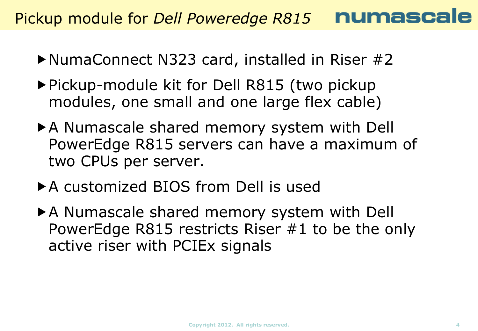Pickup module for *Dell Poweredge R815*

- ▶NumaConnect N323 card, installed in Riser #2
- ▶ Pickup-module kit for Dell R815 (two pickup modules, one small and one large flex cable)
- A Numascale shared memory system with Dell PowerEdge R815 servers can have a maximum of two CPUs per server.
- ▶ A customized BIOS from Dell is used
- A Numascale shared memory system with Dell PowerEdge R815 restricts Riser #1 to be the only active riser with PCIEx signals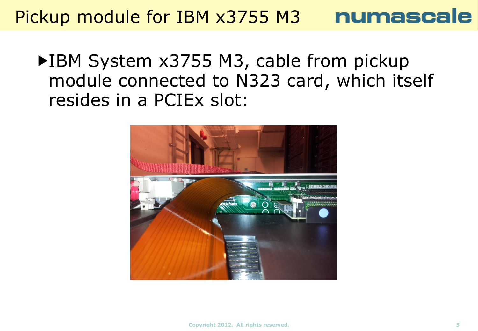## Pickup module for IBM x3755 M3 numascale

▶IBM System x3755 M3, cable from pickup module connected to N323 card, which itself resides in a PCIEx slot:

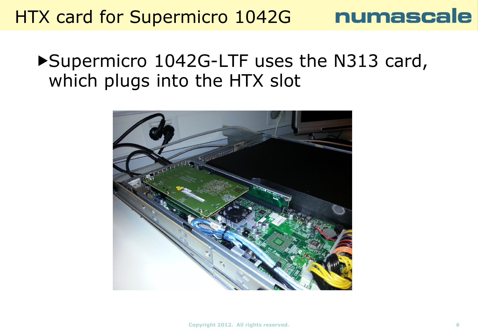## HTX card for Supermicro 1042G

#### ▶ Supermicro 1042G-LTF uses the N313 card, which plugs into the HTX slot

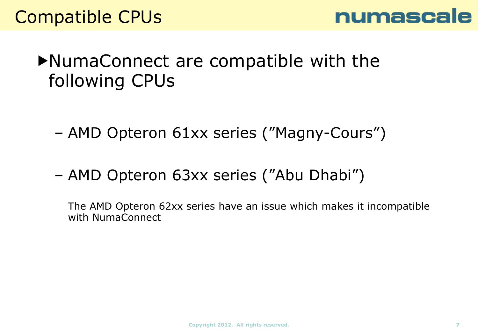

#### $\blacktriangleright$ NumaConnect are compatible with the following CPUs

- AMD Opteron 61xx series ("Magny-Cours")
- AMD Opteron 63xx series ("Abu Dhabi")

The AMD Opteron 62xx series have an issue which makes it incompatible with NumaConnect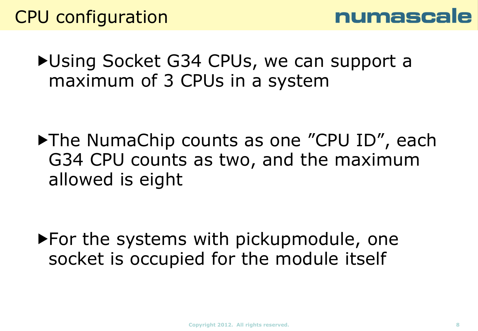▶ Using Socket G34 CPUs, we can support a maximum of 3 CPUs in a system

▶ The NumaChip counts as one "CPU ID", each G34 CPU counts as two, and the maximum allowed is eight

▶ For the systems with pickupmodule, one socket is occupied for the module itself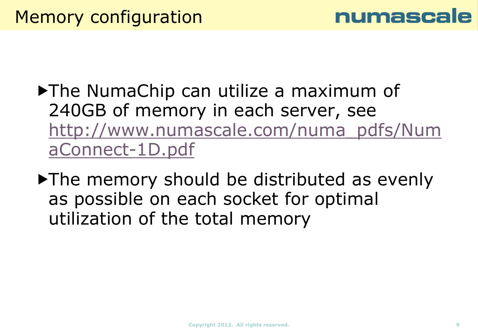

- ▶The NumaChip can utilize a maximum of 240GB of memory in each server, see [http://www.numascale.com/numa\\_pdfs/Num](http://www.numascale.com/numa_pdfs/NumaConnect-1D.pdf) [aConnect-1D.pdf](http://www.numascale.com/numa_pdfs/NumaConnect-1D.pdf)
- The memory should be distributed as evenly as possible on each socket for optimal utilization of the total memory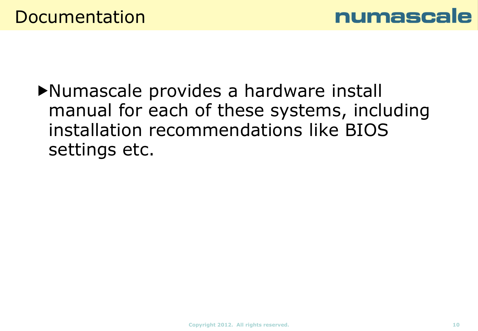

Numascale provides a hardware install manual for each of these systems, including installation recommendations like BIOS settings etc.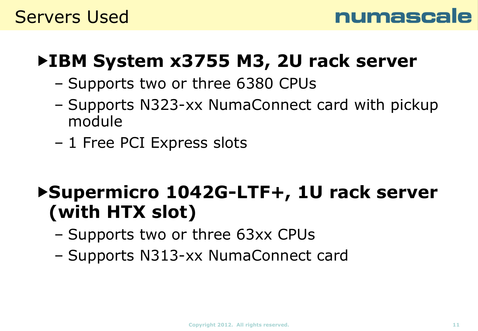

## **IBM System x3755 M3, 2U rack server**

- Supports two or three 6380 CPUs
- Supports N323-xx NumaConnect card with pickup module
- 1 Free PCI Express slots

## **Supermicro 1042G-LTF+, 1U rack server (with HTX slot)**

- Supports two or three 63xx CPUs
- Supports N313-xx NumaConnect card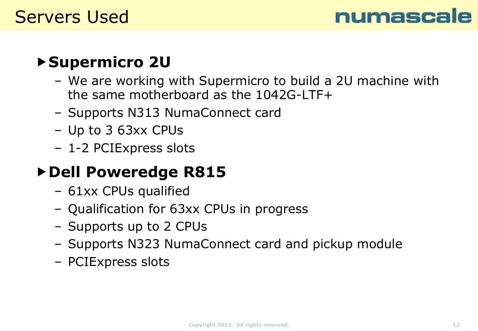

#### **Supermicro 2U**

- We are working with Supermicro to build a 2U machine with the same motherboard as the 1042G-LTF+
- Supports N313 NumaConnect card
- Up to 3 63xx CPUs
- 1-2 PCIExpress slots

#### **Dell Poweredge R815**

- 61xx CPUs qualified
- Qualification for 63xx CPUs in progress
- Supports up to 2 CPUs
- Supports N323 NumaConnect card and pickup module
- PCIExpress slots